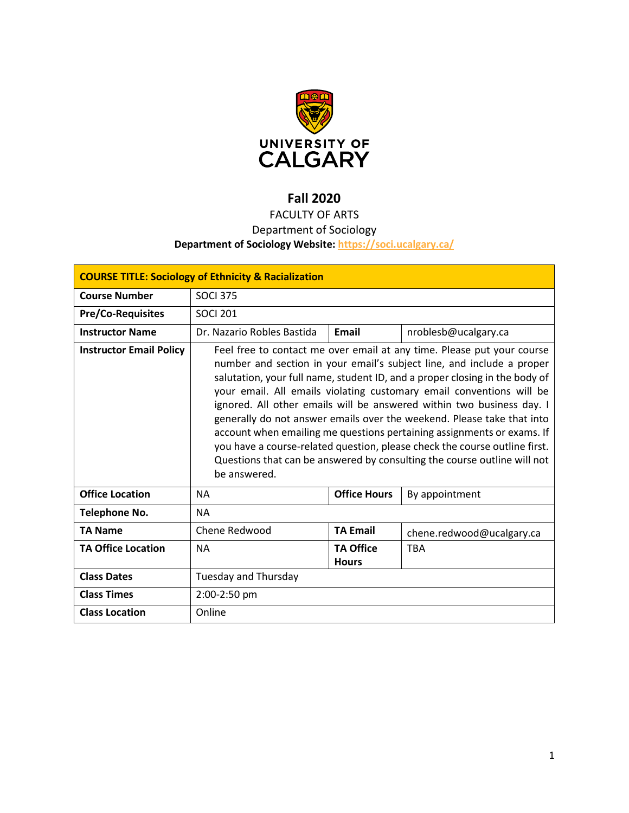

# **Fall 2020**

FACULTY OF ARTS

# Department of Sociology

# **Department of Sociology Website:<https://soci.ucalgary.ca/>**

| <b>COURSE TITLE: Sociology of Ethnicity &amp; Racialization</b> |                                                                                                                                                                                                                                                                                                                                                                                                                                                                                                                                                                                                                                                                                                               |                                  |                           |  |
|-----------------------------------------------------------------|---------------------------------------------------------------------------------------------------------------------------------------------------------------------------------------------------------------------------------------------------------------------------------------------------------------------------------------------------------------------------------------------------------------------------------------------------------------------------------------------------------------------------------------------------------------------------------------------------------------------------------------------------------------------------------------------------------------|----------------------------------|---------------------------|--|
| <b>Course Number</b>                                            | <b>SOCI 375</b>                                                                                                                                                                                                                                                                                                                                                                                                                                                                                                                                                                                                                                                                                               |                                  |                           |  |
| <b>Pre/Co-Requisites</b>                                        | <b>SOCI 201</b>                                                                                                                                                                                                                                                                                                                                                                                                                                                                                                                                                                                                                                                                                               |                                  |                           |  |
| <b>Instructor Name</b>                                          | Dr. Nazario Robles Bastida                                                                                                                                                                                                                                                                                                                                                                                                                                                                                                                                                                                                                                                                                    | Email                            | nroblesb@ucalgary.ca      |  |
| <b>Instructor Email Policy</b>                                  | Feel free to contact me over email at any time. Please put your course<br>number and section in your email's subject line, and include a proper<br>salutation, your full name, student ID, and a proper closing in the body of<br>your email. All emails violating customary email conventions will be<br>ignored. All other emails will be answered within two business day. I<br>generally do not answer emails over the weekend. Please take that into<br>account when emailing me questions pertaining assignments or exams. If<br>you have a course-related question, please check the course outline first.<br>Questions that can be answered by consulting the course outline will not<br>be answered. |                                  |                           |  |
| <b>Office Location</b>                                          | <b>NA</b>                                                                                                                                                                                                                                                                                                                                                                                                                                                                                                                                                                                                                                                                                                     | <b>Office Hours</b>              | By appointment            |  |
| <b>Telephone No.</b>                                            | <b>NA</b>                                                                                                                                                                                                                                                                                                                                                                                                                                                                                                                                                                                                                                                                                                     |                                  |                           |  |
| <b>TA Name</b>                                                  | Chene Redwood                                                                                                                                                                                                                                                                                                                                                                                                                                                                                                                                                                                                                                                                                                 | <b>TA Email</b>                  | chene.redwood@ucalgary.ca |  |
| <b>TA Office Location</b>                                       | <b>NA</b>                                                                                                                                                                                                                                                                                                                                                                                                                                                                                                                                                                                                                                                                                                     | <b>TA Office</b><br><b>Hours</b> | <b>TBA</b>                |  |
| <b>Class Dates</b>                                              | Tuesday and Thursday                                                                                                                                                                                                                                                                                                                                                                                                                                                                                                                                                                                                                                                                                          |                                  |                           |  |
| <b>Class Times</b>                                              | 2:00-2:50 pm                                                                                                                                                                                                                                                                                                                                                                                                                                                                                                                                                                                                                                                                                                  |                                  |                           |  |
| <b>Class Location</b>                                           | Online                                                                                                                                                                                                                                                                                                                                                                                                                                                                                                                                                                                                                                                                                                        |                                  |                           |  |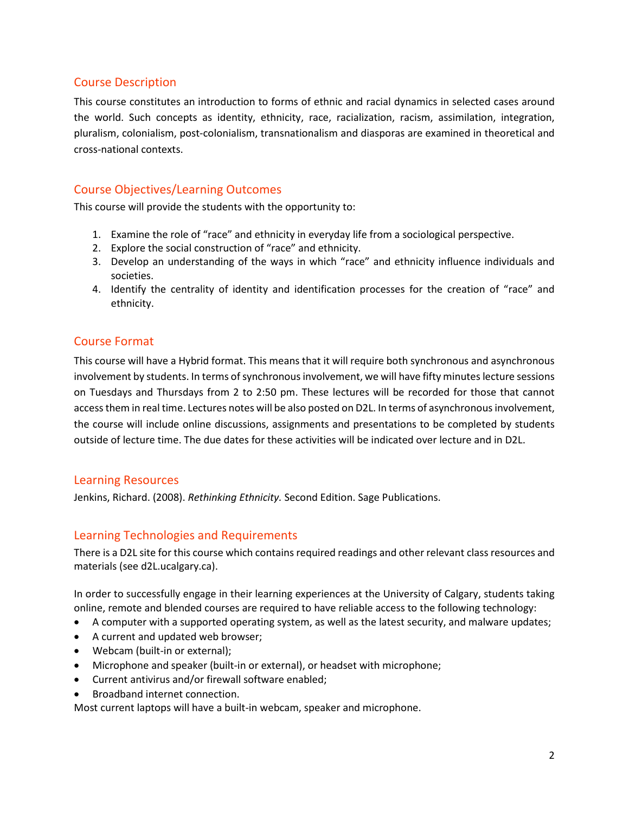# Course Description

This course constitutes an introduction to forms of ethnic and racial dynamics in selected cases around the world. Such concepts as identity, ethnicity, race, racialization, racism, assimilation, integration, pluralism, colonialism, post-colonialism, transnationalism and diasporas are examined in theoretical and cross-national contexts.

# Course Objectives/Learning Outcomes

This course will provide the students with the opportunity to:

- 1. Examine the role of "race" and ethnicity in everyday life from a sociological perspective.
- 2. Explore the social construction of "race" and ethnicity.
- 3. Develop an understanding of the ways in which "race" and ethnicity influence individuals and societies.
- 4. Identify the centrality of identity and identification processes for the creation of "race" and ethnicity.

# Course Format

This course will have a Hybrid format. This means that it will require both synchronous and asynchronous involvement by students. In terms of synchronous involvement, we will have fifty minuteslecture sessions on Tuesdays and Thursdays from 2 to 2:50 pm. These lectures will be recorded for those that cannot access them in real time. Lectures notes will be also posted on D2L. In terms of asynchronous involvement, the course will include online discussions, assignments and presentations to be completed by students outside of lecture time. The due dates for these activities will be indicated over lecture and in D2L.

## Learning Resources

Jenkins, Richard. (2008). *Rethinking Ethnicity.* Second Edition. Sage Publications.

# Learning Technologies and Requirements

There is a D2L site for this course which contains required readings and other relevant class resources and materials (see d2L.ucalgary.ca).

In order to successfully engage in their learning experiences at the University of Calgary, students taking online, remote and blended courses are required to have reliable access to the following technology:

- A computer with a supported operating system, as well as the latest security, and malware updates;
- A current and updated web browser;
- Webcam (built-in or external);
- Microphone and speaker (built-in or external), or headset with microphone;
- Current antivirus and/or firewall software enabled;
- Broadband internet connection.

Most current laptops will have a built-in webcam, speaker and microphone.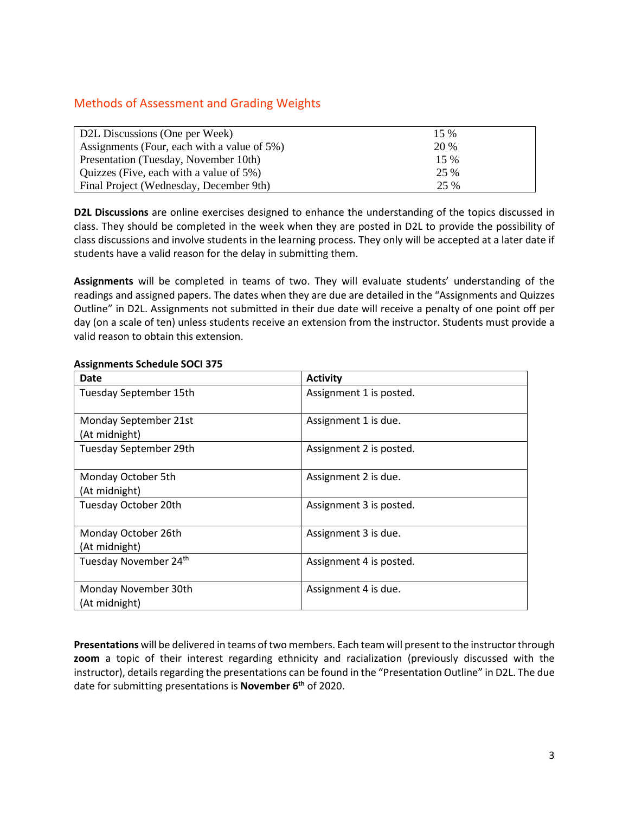# Methods of Assessment and Grading Weights

| D2L Discussions (One per Week)              | $15\%$ |
|---------------------------------------------|--------|
| Assignments (Four, each with a value of 5%) | 20 %   |
| Presentation (Tuesday, November 10th)       | $15\%$ |
| Quizzes (Five, each with a value of 5%)     | 25 %   |
| Final Project (Wednesday, December 9th)     | 25 %   |

**D2L Discussions** are online exercises designed to enhance the understanding of the topics discussed in class. They should be completed in the week when they are posted in D2L to provide the possibility of class discussions and involve students in the learning process. They only will be accepted at a later date if students have a valid reason for the delay in submitting them.

**Assignments** will be completed in teams of two. They will evaluate students' understanding of the readings and assigned papers. The dates when they are due are detailed in the "Assignments and Quizzes Outline" in D2L. Assignments not submitted in their due date will receive a penalty of one point off per day (on a scale of ten) unless students receive an extension from the instructor. Students must provide a valid reason to obtain this extension.

| Date                                   | <b>Activity</b>         |  |
|----------------------------------------|-------------------------|--|
| Tuesday September 15th                 | Assignment 1 is posted. |  |
| Monday September 21st<br>(At midnight) | Assignment 1 is due.    |  |
| Tuesday September 29th                 | Assignment 2 is posted. |  |
| Monday October 5th<br>(At midnight)    | Assignment 2 is due.    |  |
| Tuesday October 20th                   | Assignment 3 is posted. |  |
| Monday October 26th<br>(At midnight)   | Assignment 3 is due.    |  |
| Tuesday November 24th                  | Assignment 4 is posted. |  |
| Monday November 30th<br>(At midnight)  | Assignment 4 is due.    |  |

#### **Assignments Schedule SOCI 375**

**Presentations** will be delivered in teams of two members. Each team will present to the instructor through **zoom** a topic of their interest regarding ethnicity and racialization (previously discussed with the instructor), details regarding the presentations can be found in the "Presentation Outline" in D2L. The due date for submitting presentations is **November 6th** of 2020.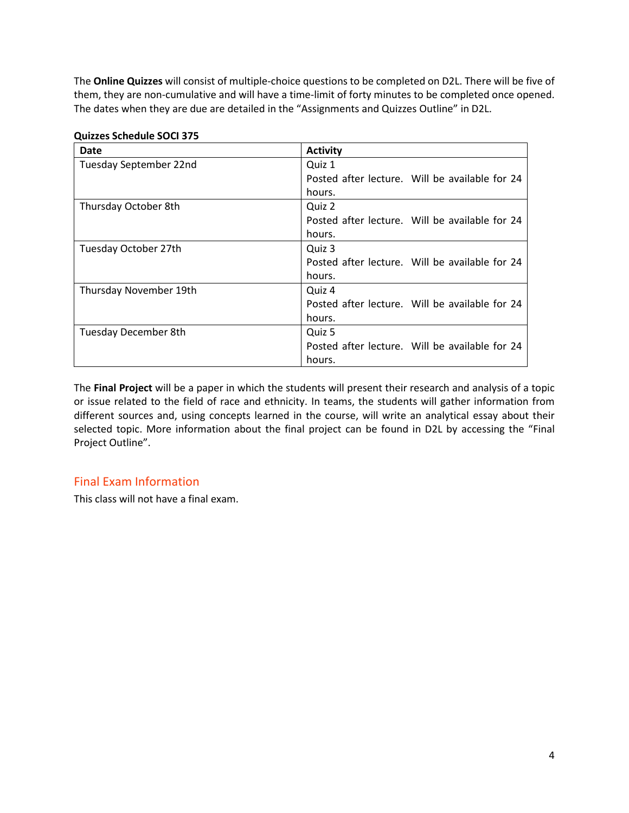The **Online Quizzes** will consist of multiple-choice questions to be completed on D2L. There will be five of them, they are non-cumulative and will have a time-limit of forty minutes to be completed once opened. The dates when they are due are detailed in the "Assignments and Quizzes Outline" in D2L.

| Date                   | <b>Activity</b>                                |
|------------------------|------------------------------------------------|
| Tuesday September 22nd | Quiz 1                                         |
|                        | Posted after lecture. Will be available for 24 |
|                        | hours.                                         |
| Thursday October 8th   | Quiz 2                                         |
|                        | Posted after lecture. Will be available for 24 |
|                        | hours.                                         |
| Tuesday October 27th   | Quiz 3                                         |
|                        | Posted after lecture. Will be available for 24 |
|                        | hours.                                         |
| Thursday November 19th | Quiz 4                                         |
|                        | Posted after lecture. Will be available for 24 |
|                        | hours.                                         |
| Tuesday December 8th   | Quiz 5                                         |
|                        | Posted after lecture. Will be available for 24 |
|                        | hours.                                         |

#### **Quizzes Schedule SOCI 375**

The **Final Project** will be a paper in which the students will present their research and analysis of a topic or issue related to the field of race and ethnicity. In teams, the students will gather information from different sources and, using concepts learned in the course, will write an analytical essay about their selected topic. More information about the final project can be found in D2L by accessing the "Final Project Outline".

# Final Exam Information

This class will not have a final exam.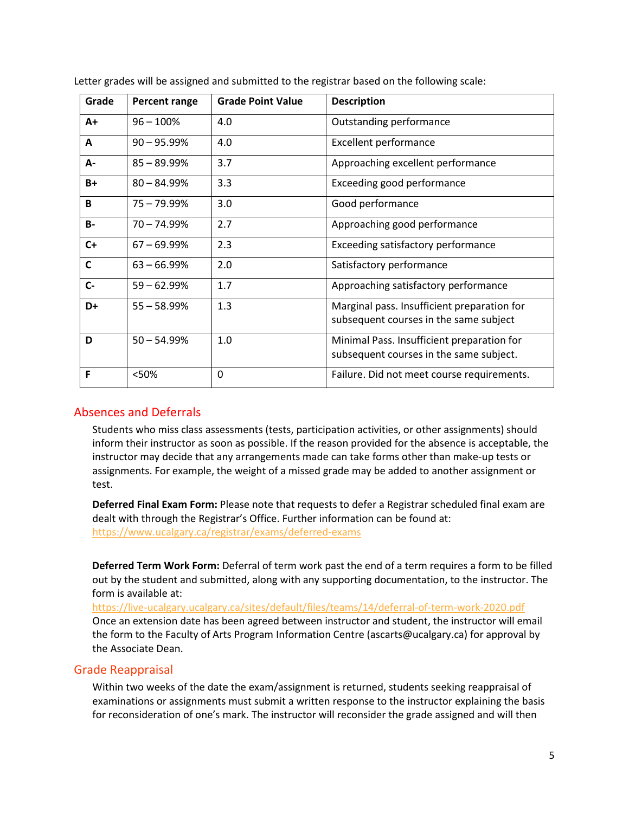| Grade        | <b>Percent range</b> | <b>Grade Point Value</b> | <b>Description</b>                                                                    |
|--------------|----------------------|--------------------------|---------------------------------------------------------------------------------------|
| $A+$         | $96 - 100%$          | 4.0                      | Outstanding performance                                                               |
| A            | $90 - 95.99\%$       | 4.0                      | <b>Excellent performance</b>                                                          |
| A-           | $85 - 89.99%$        | 3.7                      | Approaching excellent performance                                                     |
| $B+$         | $80 - 84.99%$        | 3.3                      | Exceeding good performance                                                            |
| B            | $75 - 79.99%$        | 3.0                      | Good performance                                                                      |
| <b>B-</b>    | $70 - 74.99%$        | 2.7                      | Approaching good performance                                                          |
| $C+$         | $67 - 69.99%$        | 2.3                      | Exceeding satisfactory performance                                                    |
| $\mathsf{C}$ | $63 - 66.99%$        | 2.0                      | Satisfactory performance                                                              |
| $C -$        | $59 - 62.99%$        | 1.7                      | Approaching satisfactory performance                                                  |
| D+           | $55 - 58.99%$        | 1.3                      | Marginal pass. Insufficient preparation for<br>subsequent courses in the same subject |
| D            | $50 - 54.99%$        | 1.0                      | Minimal Pass. Insufficient preparation for<br>subsequent courses in the same subject. |
| F            | <50%                 | 0                        | Failure. Did not meet course requirements.                                            |

Letter grades will be assigned and submitted to the registrar based on the following scale:

## Absences and Deferrals

Students who miss class assessments (tests, participation activities, or other assignments) should inform their instructor as soon as possible. If the reason provided for the absence is acceptable, the instructor may decide that any arrangements made can take forms other than make-up tests or assignments. For example, the weight of a missed grade may be added to another assignment or test.

**Deferred Final Exam Form:** Please note that requests to defer a Registrar scheduled final exam are dealt with through the Registrar's Office. Further information can be found at: <https://www.ucalgary.ca/registrar/exams/deferred-exams>

**Deferred Term Work Form:** Deferral of term work past the end of a term requires a form to be filled out by the student and submitted, along with any supporting documentation, to the instructor. The form is available at:

<https://live-ucalgary.ucalgary.ca/sites/default/files/teams/14/deferral-of-term-work-2020.pdf> Once an extension date has been agreed between instructor and student, the instructor will email the form to the Faculty of Arts Program Information Centre (ascarts@ucalgary.ca) for approval by the Associate Dean.

## Grade Reappraisal

Within two weeks of the date the exam/assignment is returned, students seeking reappraisal of examinations or assignments must submit a written response to the instructor explaining the basis for reconsideration of one's mark. The instructor will reconsider the grade assigned and will then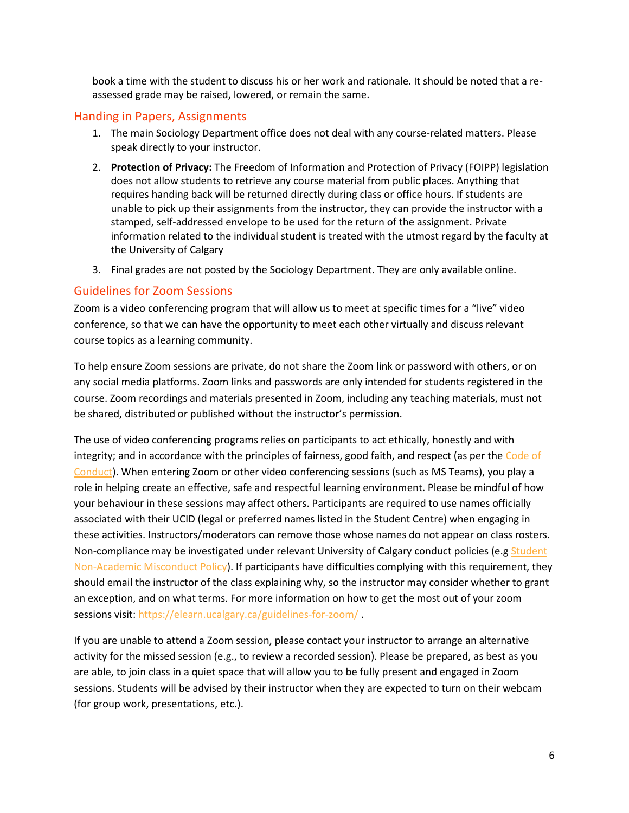book a time with the student to discuss his or her work and rationale. It should be noted that a reassessed grade may be raised, lowered, or remain the same.

## Handing in Papers, Assignments

- 1. The main Sociology Department office does not deal with any course-related matters. Please speak directly to your instructor.
- 2. **Protection of Privacy:** The Freedom of Information and Protection of Privacy (FOIPP) legislation does not allow students to retrieve any course material from public places. Anything that requires handing back will be returned directly during class or office hours. If students are unable to pick up their assignments from the instructor, they can provide the instructor with a stamped, self-addressed envelope to be used for the return of the assignment. Private information related to the individual student is treated with the utmost regard by the faculty at the University of Calgary
- 3. Final grades are not posted by the Sociology Department. They are only available online.

## Guidelines for Zoom Sessions

Zoom is a video conferencing program that will allow us to meet at specific times for a "live" video conference, so that we can have the opportunity to meet each other virtually and discuss relevant course topics as a learning community.

To help ensure Zoom sessions are private, do not share the Zoom link or password with others, or on any social media platforms. Zoom links and passwords are only intended for students registered in the course. Zoom recordings and materials presented in Zoom, including any teaching materials, must not be shared, distributed or published without the instructor's permission.

The use of video conferencing programs relies on participants to act ethically, honestly and with integrity; and in accordance with the principles of fairness, good faith, and respect (as per the Code of [Conduct\)](https://www.ucalgary.ca/policies/files/policies/code-of-conduct.pdf). When entering Zoom or other video conferencing sessions (such as MS Teams), you play a role in helping create an effective, safe and respectful learning environment. Please be mindful of how your behaviour in these sessions may affect others. Participants are required to use names officially associated with their UCID (legal or preferred names listed in the Student Centre) when engaging in these activities. Instructors/moderators can remove those whose names do not appear on class rosters. Non-compliance may be investigated under relevant University of Calgary conduct policies (e.g Student [Non-Academic Misconduct Policy\)](https://ucalgary.ca/policies/files/policies/non-academic-misconduct-policy.pdf). If participants have difficulties complying with this requirement, they should email the instructor of the class explaining why, so the instructor may consider whether to grant an exception, and on what terms. For more information on how to get the most out of your zoom sessions visit[: https://elearn.ucalgary.ca/guidelines-for-zoom/](https://elearn.ucalgary.ca/guidelines-for-zoom/)

If you are unable to attend a Zoom session, please contact your instructor to arrange an alternative activity for the missed session (e.g., to review a recorded session). Please be prepared, as best as you are able, to join class in a quiet space that will allow you to be fully present and engaged in Zoom sessions. Students will be advised by their instructor when they are expected to turn on their webcam (for group work, presentations, etc.).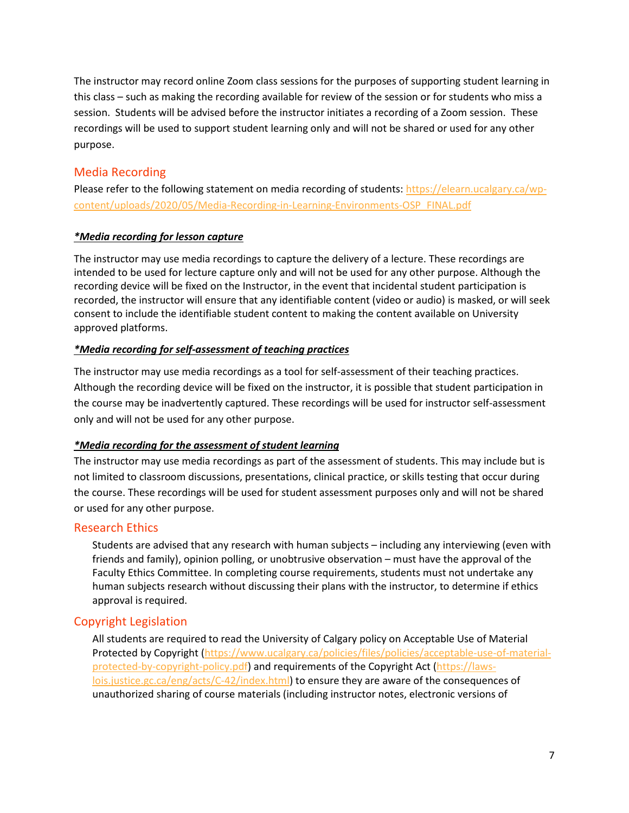The instructor may record online Zoom class sessions for the purposes of supporting student learning in this class – such as making the recording available for review of the session or for students who miss a session. Students will be advised before the instructor initiates a recording of a Zoom session. These recordings will be used to support student learning only and will not be shared or used for any other purpose.

# Media Recording

Please refer to the following statement on media recording of students: [https://elearn.ucalgary.ca/wp](https://elearn.ucalgary.ca/wp-content/uploads/2020/05/Media-Recording-in-Learning-Environments-OSP_FINAL.pdf)[content/uploads/2020/05/Media-Recording-in-Learning-Environments-OSP\\_FINAL.pdf](https://elearn.ucalgary.ca/wp-content/uploads/2020/05/Media-Recording-in-Learning-Environments-OSP_FINAL.pdf)

## *\*Media recording for lesson capture*

The instructor may use media recordings to capture the delivery of a lecture. These recordings are intended to be used for lecture capture only and will not be used for any other purpose. Although the recording device will be fixed on the Instructor, in the event that incidental student participation is recorded, the instructor will ensure that any identifiable content (video or audio) is masked, or will seek consent to include the identifiable student content to making the content available on University approved platforms.

## *\*Media recording for self-assessment of teaching practices*

The instructor may use media recordings as a tool for self-assessment of their teaching practices. Although the recording device will be fixed on the instructor, it is possible that student participation in the course may be inadvertently captured. These recordings will be used for instructor self-assessment only and will not be used for any other purpose.

## *\*Media recording for the assessment of student learning*

The instructor may use media recordings as part of the assessment of students. This may include but is not limited to classroom discussions, presentations, clinical practice, or skills testing that occur during the course. These recordings will be used for student assessment purposes only and will not be shared or used for any other purpose.

## Research Ethics

Students are advised that any research with human subjects – including any interviewing (even with friends and family), opinion polling, or unobtrusive observation – must have the approval of the Faculty Ethics Committee. In completing course requirements, students must not undertake any human subjects research without discussing their plans with the instructor, to determine if ethics approval is required.

## Copyright Legislation

All students are required to read the University of Calgary policy on Acceptable Use of Material Protected by Copyright [\(https://www.ucalgary.ca/policies/files/policies/acceptable-use-of-material](https://www.ucalgary.ca/policies/files/policies/acceptable-use-of-material-protected-by-copyright-policy.pdf)[protected-by-copyright-policy.pdf\)](https://www.ucalgary.ca/policies/files/policies/acceptable-use-of-material-protected-by-copyright-policy.pdf) and requirements of the Copyright Act [\(https://laws](https://laws-lois.justice.gc.ca/eng/acts/C-42/index.html)[lois.justice.gc.ca/eng/acts/C-42/index.html\)](https://laws-lois.justice.gc.ca/eng/acts/C-42/index.html) to ensure they are aware of the consequences of unauthorized sharing of course materials (including instructor notes, electronic versions of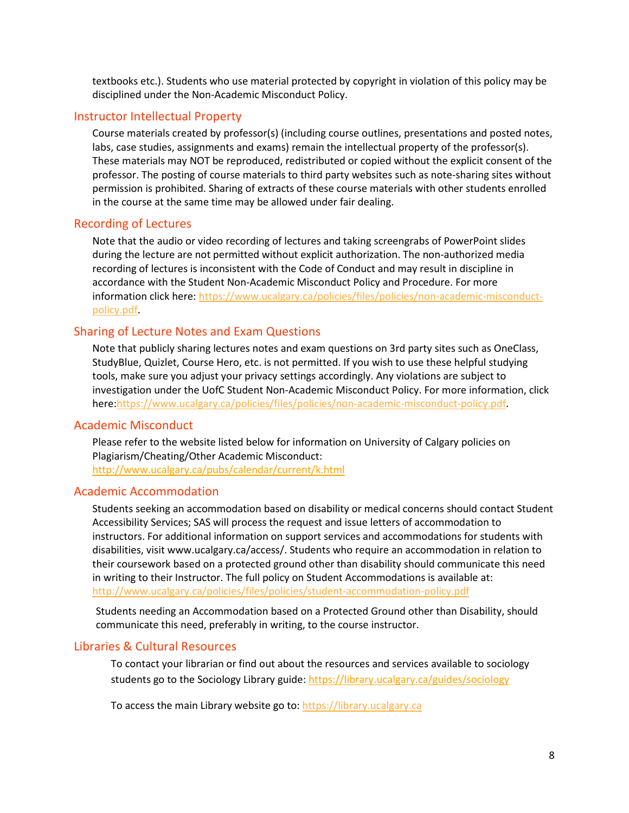textbooks etc.). Students who use material protected by copyright in violation of this policy may be disciplined under the Non-Academic Misconduct Policy.

#### Instructor Intellectual Property

Course materials created by professor(s) (including course outlines, presentations and posted notes, labs, case studies, assignments and exams) remain the intellectual property of the professor(s). These materials may NOT be reproduced, redistributed or copied without the explicit consent of the professor. The posting of course materials to third party websites such as note-sharing sites without permission is prohibited. Sharing of extracts of these course materials with other students enrolled in the course at the same time may be allowed under fair dealing.

#### Recording of Lectures

Note that the audio or video recording of lectures and taking screengrabs of PowerPoint slides during the lecture are not permitted without explicit authorization. The non-authorized media recording of lectures is inconsistent with the Code of Conduct and may result in discipline in accordance with the Student Non-Academic Misconduct Policy and Procedure. For more information click here: [https://www.ucalgary.ca/policies/files/policies/non-academic-misconduct](https://www.ucalgary.ca/policies/files/policies/non-academic-misconduct-policy.pdf)[policy.pdf.](https://www.ucalgary.ca/policies/files/policies/non-academic-misconduct-policy.pdf)

#### Sharing of Lecture Notes and Exam Questions

Note that publicly sharing lectures notes and exam questions on 3rd party sites such as OneClass, StudyBlue, Quizlet, Course Hero, etc. is not permitted. If you wish to use these helpful studying tools, make sure you adjust your privacy settings accordingly. Any violations are subject to investigation under the UofC Student Non-Academic Misconduct Policy. For more information, click here[:https://www.ucalgary.ca/policies/files/policies/non-academic-misconduct-policy.pdf.](https://www.ucalgary.ca/policies/files/policies/non-academic-misconduct-policy.pdf)

#### Academic Misconduct

Please refer to the website listed below for information on University of Calgary policies on Plagiarism/Cheating/Other Academic Misconduct: <http://www.ucalgary.ca/pubs/calendar/current/k.html>

#### Academic Accommodation

Students seeking an accommodation based on disability or medical concerns should contact Student Accessibility Services; SAS will process the request and issue letters of accommodation to instructors. For additional information on support services and accommodations for students with disabilities, visit www.ucalgary.ca/access/. Students who require an accommodation in relation to their coursework based on a protected ground other than disability should communicate this need in writing to their Instructor. The full policy on Student Accommodations is available at: <http://www.ucalgary.ca/policies/files/policies/student-accommodation-policy.pdf>

Students needing an Accommodation based on a Protected Ground other than Disability, should communicate this need, preferably in writing, to the course instructor.

#### Libraries & Cultural Resources

To contact your librarian or find out about the resources and services available to sociology students go to the Sociology Library guide[: https://library.ucalgary.ca/guides/sociology](https://library.ucalgary.ca/guides/sociology)

To access the main Library website go to: [https://library.ucalgary.ca](https://library.ucalgary.ca/)